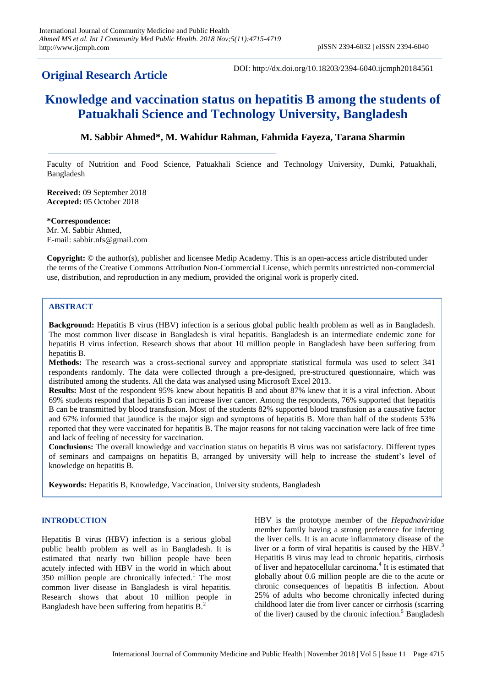## **Original Research Article**

DOI: http://dx.doi.org/10.18203/2394-6040.ijcmph20184561

# **Knowledge and vaccination status on hepatitis B among the students of Patuakhali Science and Technology University, Bangladesh**

## **M. Sabbir Ahmed\*, M. Wahidur Rahman, Fahmida Fayeza, Tarana Sharmin**

Faculty of Nutrition and Food Science, Patuakhali Science and Technology University, Dumki, Patuakhali, Bangladesh

**Received:** 09 September 2018 **Accepted:** 05 October 2018

**\*Correspondence:** Mr. M. Sabbir Ahmed, E-mail: sabbir.nfs@gmail.com

**Copyright:** © the author(s), publisher and licensee Medip Academy. This is an open-access article distributed under the terms of the Creative Commons Attribution Non-Commercial License, which permits unrestricted non-commercial use, distribution, and reproduction in any medium, provided the original work is properly cited.

## **ABSTRACT**

**Background:** Hepatitis B virus (HBV) infection is a serious global public health problem as well as in Bangladesh. The most common liver disease in Bangladesh is viral hepatitis. Bangladesh is an intermediate endemic zone for hepatitis B virus infection. Research shows that about 10 million people in Bangladesh have been suffering from hepatitis B.

**Methods:** The research was a cross-sectional survey and appropriate statistical formula was used to select 341 respondents randomly. The data were collected through a pre-designed, pre-structured questionnaire, which was distributed among the students. All the data was analysed using Microsoft Excel 2013.

**Results:** Most of the respondent 95% knew about hepatitis B and about 87% knew that it is a viral infection. About 69% students respond that hepatitis B can increase liver cancer. Among the respondents, 76% supported that hepatitis B can be transmitted by blood transfusion. Most of the students 82% supported blood transfusion as a causative factor and 67% informed that jaundice is the major sign and symptoms of hepatitis B. More than half of the students 53% reported that they were vaccinated for hepatitis B. The major reasons for not taking vaccination were lack of free time and lack of feeling of necessity for vaccination.

**Conclusions:** The overall knowledge and vaccination status on hepatitis B virus was not satisfactory. Different types of seminars and campaigns on hepatitis B, arranged by university will help to increase the student's level of knowledge on hepatitis B.

**Keywords:** Hepatitis B, Knowledge, Vaccination, University students, Bangladesh

#### **INTRODUCTION**

Hepatitis B virus (HBV) infection is a serious global public health problem as well as in Bangladesh. It is estimated that nearly two billion people have been acutely infected with HBV in the world in which about  $350$  million people are chronically infected.<sup>1</sup> The most common liver disease in Bangladesh is viral hepatitis. Research shows that about 10 million people in Bangladesh have been suffering from hepatitis B.<sup>2</sup>

HBV is the prototype member of the *Hepadnaviridae*  member family having a strong preference for infecting the liver cells. It is an acute inflammatory disease of the liver or a form of viral hepatitis is caused by the HBV.<sup>3</sup> Hepatitis B virus may lead to chronic hepatitis, cirrhosis of liver and hepatocellular carcinoma.<sup>4</sup> It is estimated that globally about 0.6 million people are die to the acute or chronic consequences of hepatitis B infection. About 25% of adults who become chronically infected during childhood later die from liver cancer or cirrhosis (scarring of the liver) caused by the chronic infection.<sup>5</sup> Bangladesh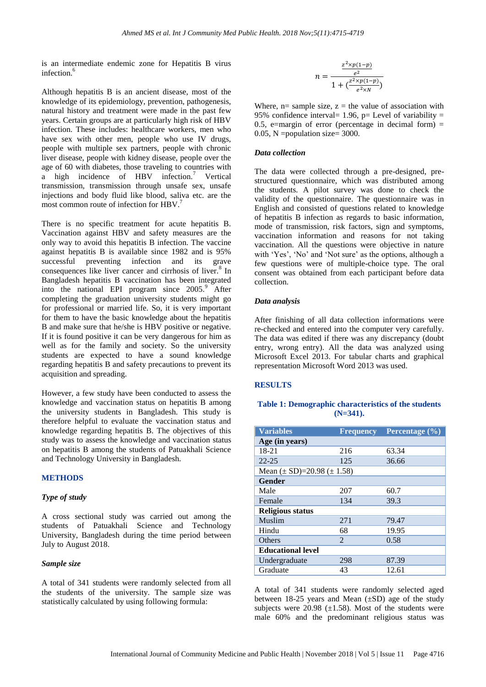is an intermediate endemic zone for Hepatitis B virus infection.<sup>6</sup>

Although hepatitis B is an ancient disease, most of the knowledge of its epidemiology, prevention, pathogenesis, natural history and treatment were made in the past few years. Certain groups are at particularly high risk of HBV infection. These includes: healthcare workers, men who have sex with other men, people who use IV drugs, people with multiple sex partners, people with chronic liver disease, people with kidney disease, people over the age of 60 with diabetes, those traveling to countries with a high incidence of  $HBV$  infection.<sup>7</sup> Vertical transmission, transmission through unsafe sex, unsafe injections and body fluid like blood, saliva etc. are the most common route of infection for HBV. 7

There is no specific treatment for acute hepatitis B. Vaccination against HBV and safety measures are the only way to avoid this hepatitis B infection. The vaccine against hepatitis B is available since 1982 and is 95% successful preventing infection and its grave consequences like liver cancer and cirrhosis of liver.<sup>8</sup> In Bangladesh hepatitis B vaccination has been integrated into the national EPI program since 2005.<sup>9</sup> After completing the graduation university students might go for professional or married life. So, it is very important for them to have the basic knowledge about the hepatitis B and make sure that he/she is HBV positive or negative. If it is found positive it can be very dangerous for him as well as for the family and society. So the university students are expected to have a sound knowledge regarding hepatitis B and safety precautions to prevent its acquisition and spreading.

However, a few study have been conducted to assess the knowledge and vaccination status on hepatitis B among the university students in Bangladesh. This study is therefore helpful to evaluate the vaccination status and knowledge regarding hepatitis B. The objectives of this study was to assess the knowledge and vaccination status on hepatitis B among the students of Patuakhali Science and Technology University in Bangladesh.

#### **METHODS**

#### *Type of study*

A cross sectional study was carried out among the students of Patuakhali Science and Technology University, Bangladesh during the time period between July to August 2018.

#### *Sample size*

A total of 341 students were randomly selected from all the students of the university. The sample size was statistically calculated by using following formula:

$$
n = \frac{\frac{z^2 \times p(1-p)}{e^2}}{1 + (\frac{z^2 \times p(1-p)}{e^2 \times N})}
$$

Where,  $n=$  sample size,  $z =$  the value of association with 95% confidence interval= 1.96,  $p=$  Level of variability = 0.5, e=margin of error (percentage in decimal form)  $=$ 0.05, N =population size= 3000.

#### *Data collection*

The data were collected through a pre-designed, prestructured questionnaire, which was distributed among the students. A pilot survey was done to check the validity of the questionnaire. The questionnaire was in English and consisted of questions related to knowledge of hepatitis B infection as regards to basic information, mode of transmission, risk factors, sign and symptoms, vaccination information and reasons for not taking vaccination. All the questions were objective in nature with 'Yes', 'No' and 'Not sure' as the options, although a few questions were of multiple-choice type. The oral consent was obtained from each participant before data collection.

#### *Data analysis*

After finishing of all data collection informations were re-checked and entered into the computer very carefully. The data was edited if there was any discrepancy (doubt entry, wrong entry). All the data was analyzed using Microsoft Excel 2013. For tabular charts and graphical representation Microsoft Word 2013 was used.

#### **RESULTS**

#### **Table 1: Demographic characteristics of the students (N=341).**

| <b>Variables</b>                 | <b>Frequency</b> | Percentage $\overline{(\%)}$ |  |  |
|----------------------------------|------------------|------------------------------|--|--|
| Age (in years)                   |                  |                              |  |  |
| $18 - 21$                        | 216              | 63.34                        |  |  |
| $22 - 25$                        | 125              | 36.66                        |  |  |
| Mean $(\pm SD)=20.98 (\pm 1.58)$ |                  |                              |  |  |
| Gender                           |                  |                              |  |  |
| Male                             | 207              | 60.7                         |  |  |
| Female                           | 134              | 39.3                         |  |  |
| <b>Religious status</b>          |                  |                              |  |  |
| Muslim                           | 271              | 79.47                        |  |  |
| Hindu                            | 68               | 19.95                        |  |  |
| <b>Others</b>                    | 2                | 0.58                         |  |  |
| <b>Educational level</b>         |                  |                              |  |  |
| Undergraduate                    | 298              | 87.39                        |  |  |
| Graduate                         | 43               | 12.61                        |  |  |

A total of 341 students were randomly selected aged between  $18-25$  years and Mean  $(\pm SD)$  age of the study subjects were  $20.98$  ( $\pm 1.58$ ). Most of the students were male 60% and the predominant religious status was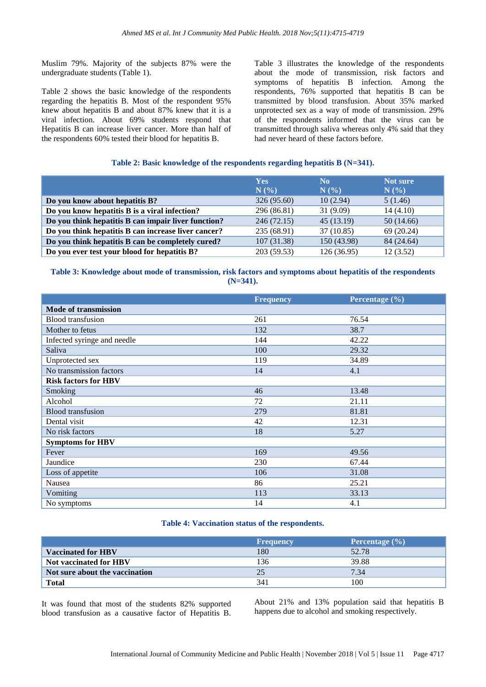Muslim 79%. Majority of the subjects 87% were the undergraduate students (Table 1).

Table 2 shows the basic knowledge of the respondents regarding the hepatitis B. Most of the respondent 95% knew about hepatitis B and about 87% knew that it is a viral infection. About 69% students respond that Hepatitis B can increase liver cancer. More than half of the respondents 60% tested their blood for hepatitis B.

Table 3 illustrates the knowledge of the respondents about the mode of transmission, risk factors and symptoms of hepatitis B infection. Among the respondents, 76% supported that hepatitis B can be transmitted by blood transfusion. About 35% marked unprotected sex as a way of mode of transmission. 29% of the respondents informed that the virus can be transmitted through saliva whereas only 4% said that they had never heard of these factors before.

#### **Table 2: Basic knowledge of the respondents regarding hepatitis B (N=341).**

|                                                     | <b>Yes</b><br>N(% | N <sub>0</sub><br>N(% | Not sure<br>N(% |
|-----------------------------------------------------|-------------------|-----------------------|-----------------|
| Do you know about hepatitis B?                      | 326 (95.60)       | 10(2.94)              | 5(1.46)         |
| Do you know hepatitis B is a viral infection?       | 296 (86.81)       | 31(9.09)              | 14(4.10)        |
| Do you think hepatitis B can impair liver function? | 246 (72.15)       | 45 (13.19)            | 50 (14.66)      |
| Do you think hepatitis B can increase liver cancer? | 235 (68.91)       | 37(10.85)             | 69 (20.24)      |
| Do you think hepatitis B can be completely cured?   | 107(31.38)        | 150 (43.98)           | 84 (24.64)      |
| Do you ever test your blood for hepatitis B?        | 203 (59.53)       | 126 (36.95)           | 12(3.52)        |

#### **Table 3: Knowledge about mode of transmission, risk factors and symptoms about hepatitis of the respondents (N=341).**

|                             | <b>Frequency</b> | Percentage (%) |
|-----------------------------|------------------|----------------|
| <b>Mode of transmission</b> |                  |                |
| <b>Blood</b> transfusion    | 261              | 76.54          |
| Mother to fetus             | 132              | 38.7           |
| Infected syringe and needle | 144              | 42.22          |
| Saliva                      | 100              | 29.32          |
| Unprotected sex             | 119              | 34.89          |
| No transmission factors     | 14               | 4.1            |
| <b>Risk factors for HBV</b> |                  |                |
| Smoking                     | 46               | 13.48          |
| Alcohol                     | 72               | 21.11          |
| <b>Blood</b> transfusion    | 279              | 81.81          |
| Dental visit                | 42               | 12.31          |
| No risk factors             | 18               | 5.27           |
| <b>Symptoms for HBV</b>     |                  |                |
| Fever                       | 169              | 49.56          |
| Jaundice                    | 230              | 67.44          |
| Loss of appetite            | 106              | 31.08          |
| Nausea                      | 86               | 25.21          |
| Vomiting                    | 113              | 33.13          |
| No symptoms                 | 14               | 4.1            |

## **Table 4: Vaccination status of the respondents.**

|                                | <b>Frequency</b> | Percentage $(\% )$ |
|--------------------------------|------------------|--------------------|
| <b>Vaccinated for HBV</b>      | 180              | 52.78              |
| Not vaccinated for HBV         | 136              | 39.88              |
| Not sure about the vaccination | 25               | 7.34               |
| <b>Total</b>                   | 341              | 100                |

It was found that most of the students 82% supported blood transfusion as a causative factor of Hepatitis B. About 21% and 13% population said that hepatitis B happens due to alcohol and smoking respectively.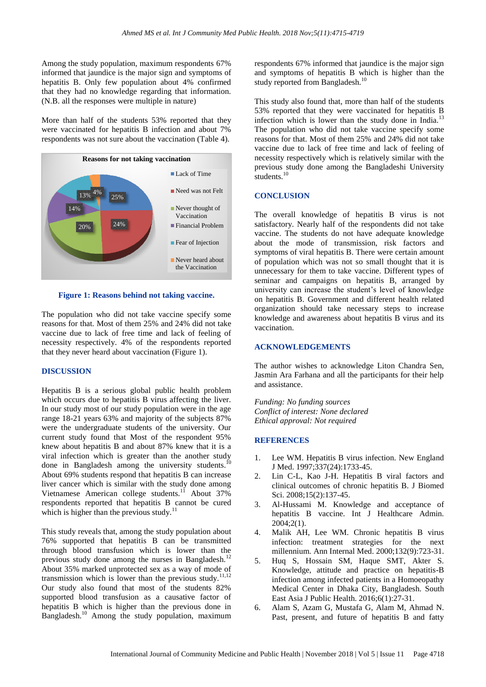Among the study population, maximum respondents 67% informed that jaundice is the major sign and symptoms of hepatitis B. Only few population about 4% confirmed that they had no knowledge regarding that information. (N.B. all the responses were multiple in nature)

More than half of the students 53% reported that they were vaccinated for hepatitis B infection and about 7% respondents was not sure about the vaccination (Table 4).



**Figure 1: Reasons behind not taking vaccine.**

The population who did not take vaccine specify some reasons for that. Most of them 25% and 24% did not take vaccine due to lack of free time and lack of feeling of necessity respectively. 4% of the respondents reported that they never heard about vaccination (Figure 1).

#### **DISCUSSION**

Hepatitis B is a serious global public health problem which occurs due to hepatitis B virus affecting the liver. In our study most of our study population were in the age range 18-21 years 63% and majority of the subjects 87% were the undergraduate students of the university. Our current study found that Most of the respondent 95% knew about hepatitis B and about 87% knew that it is a viral infection which is greater than the another study done in Bangladesh among the university students.<sup>10</sup> About 69% students respond that hepatitis B can increase liver cancer which is similar with the study done among Vietnamese American college students.<sup>11</sup> About 37% respondents reported that hepatitis B cannot be cured which is higher than the previous study.<sup>11</sup>

This study reveals that, among the study population about 76% supported that hepatitis B can be transmitted through blood transfusion which is lower than the previous study done among the nurses in Bangladesh.<sup>12</sup> About 35% marked unprotected sex as a way of mode of transmission which is lower than the previous study.<sup>11,12</sup> Our study also found that most of the students 82% supported blood transfusion as a causative factor of hepatitis B which is higher than the previous done in Bangladesh.<sup>10</sup> Among the study population, maximum respondents 67% informed that jaundice is the major sign and symptoms of hepatitis B which is higher than the study reported from Bangladesh.<sup>10</sup>

This study also found that, more than half of the students 53% reported that they were vaccinated for hepatitis B infection which is lower than the study done in India.<sup>13</sup> The population who did not take vaccine specify some reasons for that. Most of them 25% and 24% did not take vaccine due to lack of free time and lack of feeling of necessity respectively which is relatively similar with the previous study done among the Bangladeshi University students.<sup>10</sup>

#### **CONCLUSION**

The overall knowledge of hepatitis B virus is not satisfactory. Nearly half of the respondents did not take vaccine. The students do not have adequate knowledge about the mode of transmission, risk factors and symptoms of viral hepatitis B. There were certain amount of population which was not so small thought that it is unnecessary for them to take vaccine. Different types of seminar and campaigns on hepatitis B, arranged by university can increase the student's level of knowledge on hepatitis B. Government and different health related organization should take necessary steps to increase knowledge and awareness about hepatitis B virus and its vaccination.

#### **ACKNOWLEDGEMENTS**

The author wishes to acknowledge Liton Chandra Sen, Jasmin Ara Farhana and all the participants for their help and assistance.

*Funding: No funding sources Conflict of interest: None declared Ethical approval: Not required*

#### **REFERENCES**

- 1. Lee WM. Hepatitis B virus infection. New England J Med. 1997;337(24):1733-45.
- 2. Lin C-L, Kao J-H. Hepatitis B viral factors and clinical outcomes of chronic hepatitis B. J Biomed Sci. 2008;15(2):137-45.
- 3. Al-Hussami M. Knowledge and acceptance of hepatitis B vaccine. Int J Healthcare Admin. 2004;2(1).
- 4. Malik AH, Lee WM. Chronic hepatitis B virus infection: treatment strategies for the next millennium. Ann Internal Med. 2000;132(9):723-31.
- 5. Huq S, Hossain SM, Haque SMT, Akter S. Knowledge, attitude and practice on hepatitis-B infection among infected patients in a Homoeopathy Medical Center in Dhaka City, Bangladesh. South East Asia J Public Health. 2016;6(1):27-31.
- 6. Alam S, Azam G, Mustafa G, Alam M, Ahmad N. Past, present, and future of hepatitis B and fatty